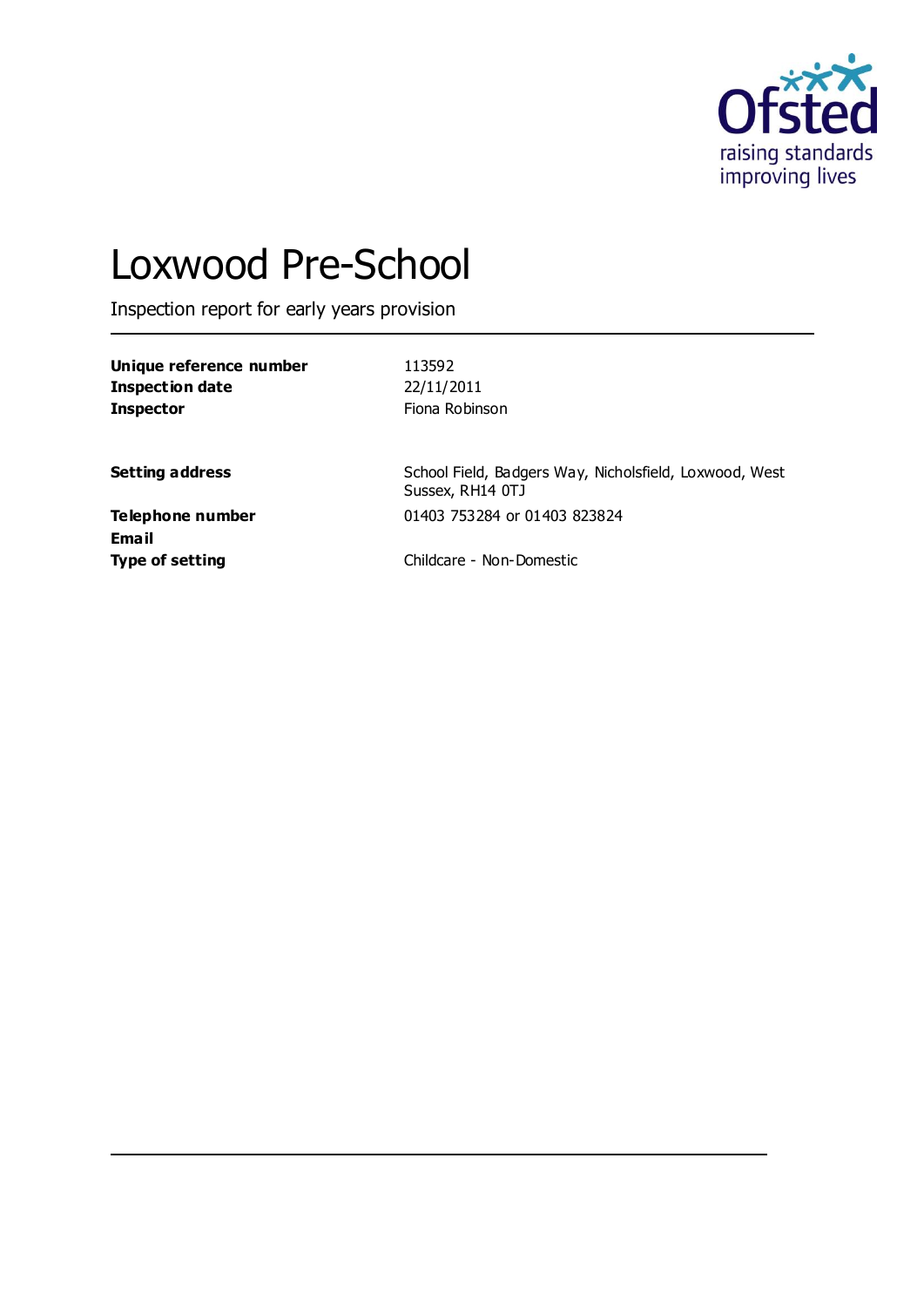

# Loxwood Pre-School

Inspection report for early years provision

| Unique reference number | 113592         |
|-------------------------|----------------|
| Inspection date         | 22/11/2011     |
| <b>Inspector</b>        | Fiona Robinson |

**Setting address** School Field, Badgers Way, Nicholsfield, Loxwood, West Sussex, RH14 0TJ **Telephone number** 01403 753284 or 01403 823824

**Email**

**Type of setting** Childcare - Non-Domestic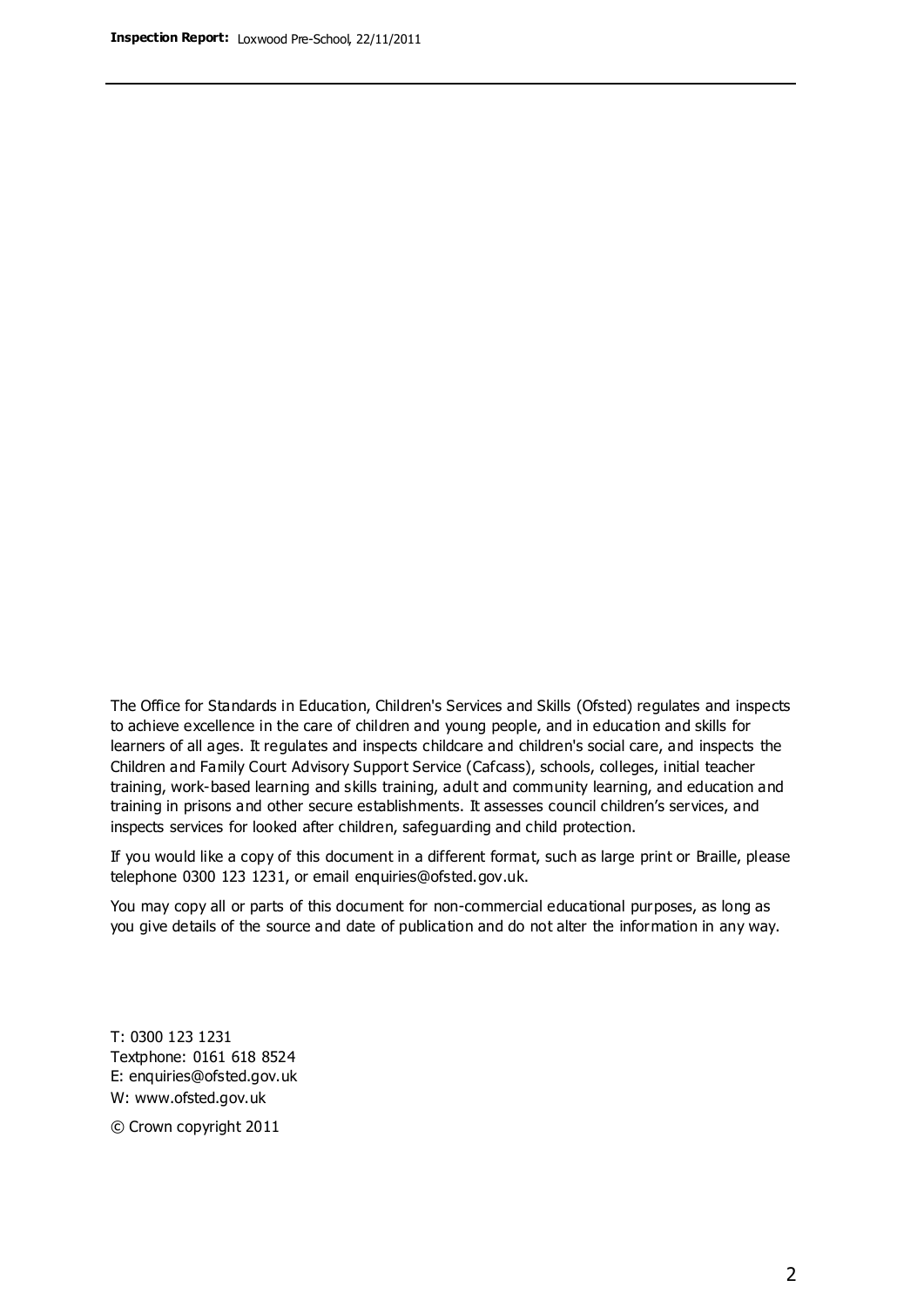The Office for Standards in Education, Children's Services and Skills (Ofsted) regulates and inspects to achieve excellence in the care of children and young people, and in education and skills for learners of all ages. It regulates and inspects childcare and children's social care, and inspects the Children and Family Court Advisory Support Service (Cafcass), schools, colleges, initial teacher training, work-based learning and skills training, adult and community learning, and education and training in prisons and other secure establishments. It assesses council children's services, and inspects services for looked after children, safeguarding and child protection.

If you would like a copy of this document in a different format, such as large print or Braille, please telephone 0300 123 1231, or email enquiries@ofsted.gov.uk.

You may copy all or parts of this document for non-commercial educational purposes, as long as you give details of the source and date of publication and do not alter the information in any way.

T: 0300 123 1231 Textphone: 0161 618 8524 E: enquiries@ofsted.gov.uk W: [www.ofsted.gov.uk](http://www.ofsted.gov.uk/)

© Crown copyright 2011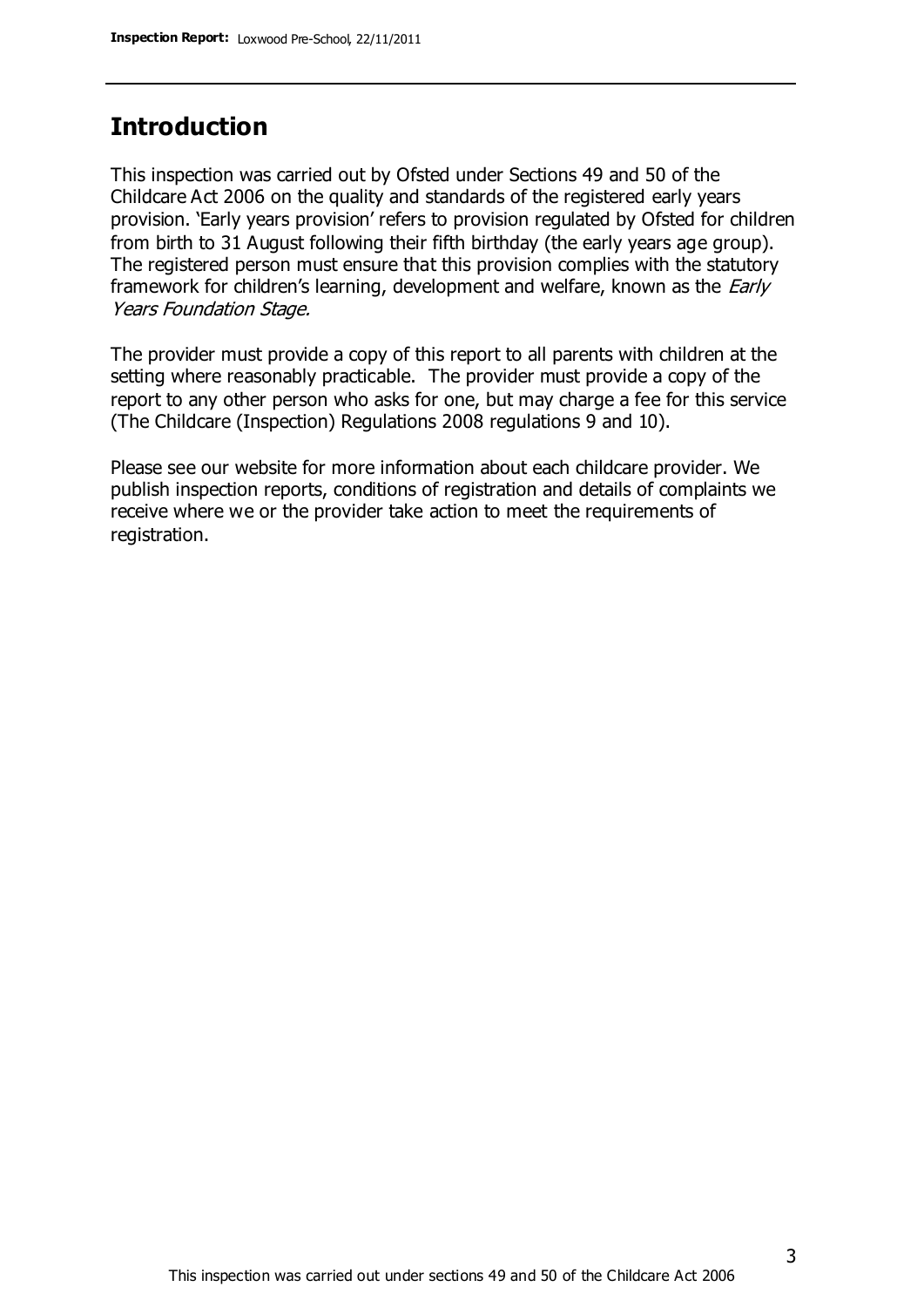# **Introduction**

This inspection was carried out by Ofsted under Sections 49 and 50 of the Childcare Act 2006 on the quality and standards of the registered early years provision. 'Early years provision' refers to provision regulated by Ofsted for children from birth to 31 August following their fifth birthday (the early years age group). The registered person must ensure that this provision complies with the statutory framework for children's learning, development and welfare, known as the *Early* Years Foundation Stage.

The provider must provide a copy of this report to all parents with children at the setting where reasonably practicable. The provider must provide a copy of the report to any other person who asks for one, but may charge a fee for this service (The Childcare (Inspection) Regulations 2008 regulations 9 and 10).

Please see our website for more information about each childcare provider. We publish inspection reports, conditions of registration and details of complaints we receive where we or the provider take action to meet the requirements of registration.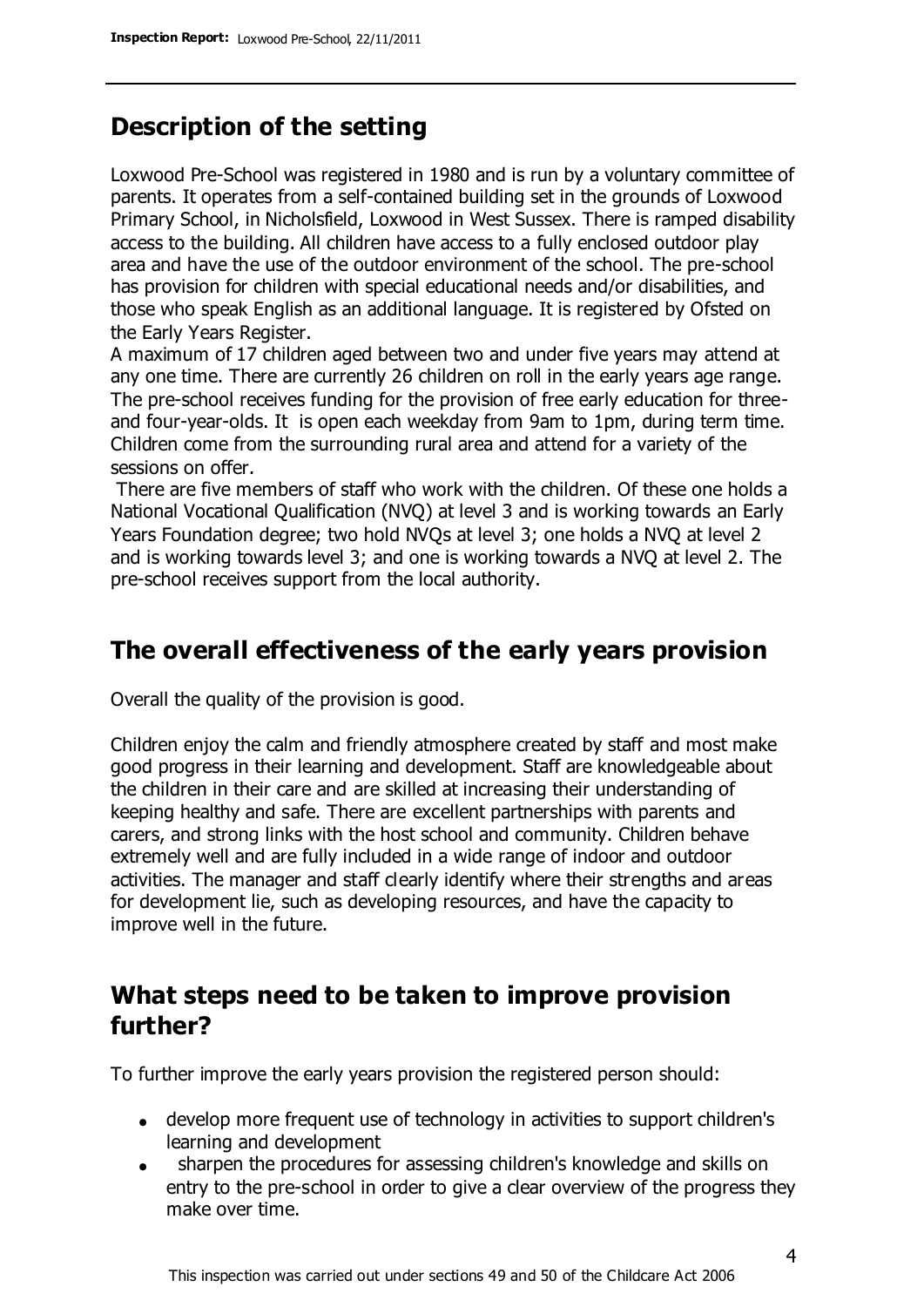# **Description of the setting**

Loxwood Pre-School was registered in 1980 and is run by a voluntary committee of parents. It operates from a self-contained building set in the grounds of Loxwood Primary School, in Nicholsfield, Loxwood in West Sussex. There is ramped disability access to the building. All children have access to a fully enclosed outdoor play area and have the use of the outdoor environment of the school. The pre-school has provision for children with special educational needs and/or disabilities, and those who speak English as an additional language. It is registered by Ofsted on the Early Years Register.

A maximum of 17 children aged between two and under five years may attend at any one time. There are currently 26 children on roll in the early years age range. The pre-school receives funding for the provision of free early education for threeand four-year-olds. It is open each weekday from 9am to 1pm, during term time. Children come from the surrounding rural area and attend for a variety of the sessions on offer.

There are five members of staff who work with the children. Of these one holds a National Vocational Qualification (NVQ) at level 3 and is working towards an Early Years Foundation degree; two hold NVQs at level 3; one holds a NVQ at level 2 and is working towards level 3; and one is working towards a NVQ at level 2. The pre-school receives support from the local authority.

## **The overall effectiveness of the early years provision**

Overall the quality of the provision is good.

Children enjoy the calm and friendly atmosphere created by staff and most make good progress in their learning and development. Staff are knowledgeable about the children in their care and are skilled at increasing their understanding of keeping healthy and safe. There are excellent partnerships with parents and carers, and strong links with the host school and community. Children behave extremely well and are fully included in a wide range of indoor and outdoor activities. The manager and staff clearly identify where their strengths and areas for development lie, such as developing resources, and have the capacity to improve well in the future.

# **What steps need to be taken to improve provision further?**

To further improve the early years provision the registered person should:

- develop more frequent use of technology in activities to support children's learning and development
- sharpen the procedures for assessing children's knowledge and skills on  $\bullet$ entry to the pre-school in order to give a clear overview of the progress they make over time.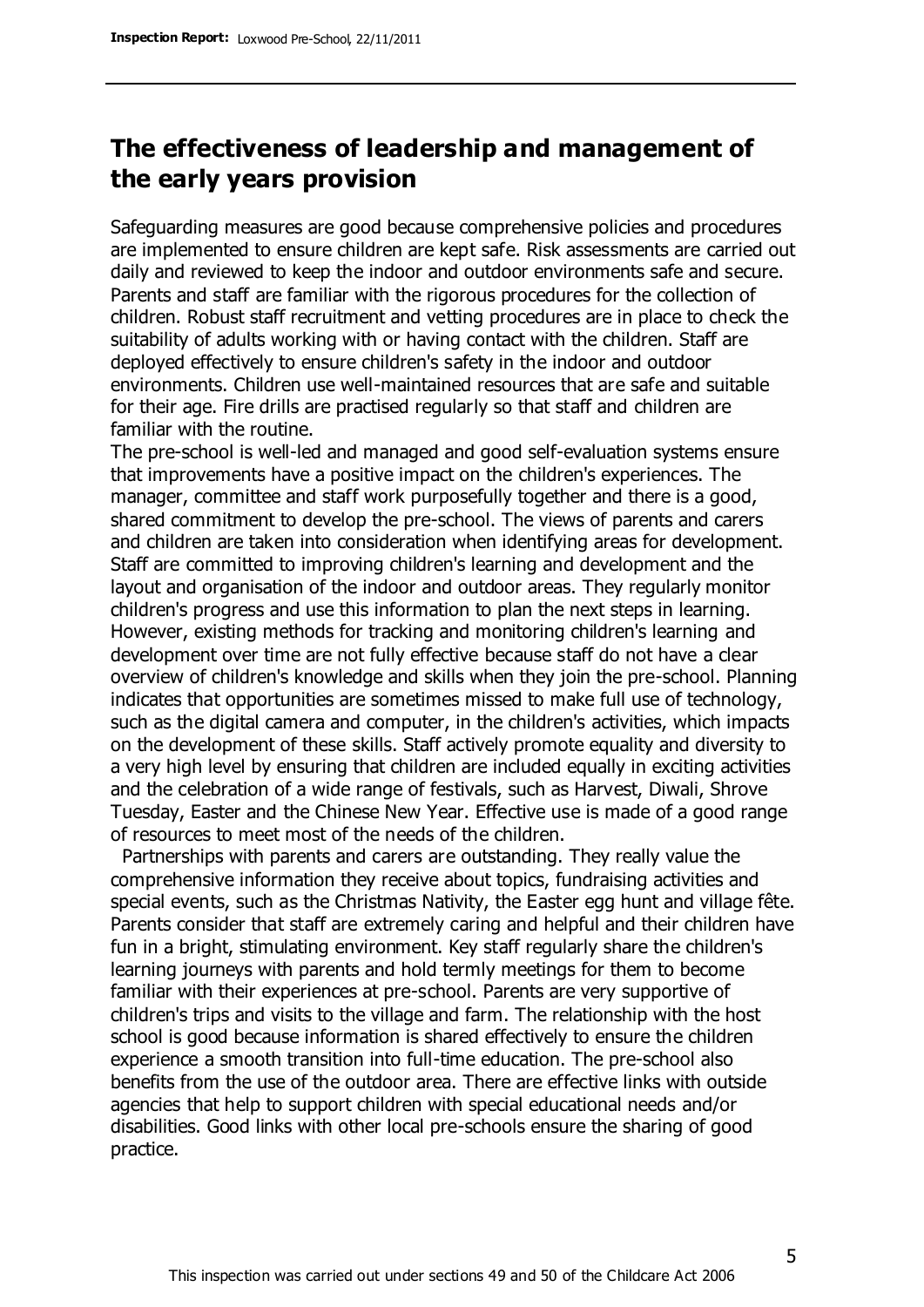# **The effectiveness of leadership and management of the early years provision**

Safeguarding measures are good because comprehensive policies and procedures are implemented to ensure children are kept safe. Risk assessments are carried out daily and reviewed to keep the indoor and outdoor environments safe and secure. Parents and staff are familiar with the rigorous procedures for the collection of children. Robust staff recruitment and vetting procedures are in place to check the suitability of adults working with or having contact with the children. Staff are deployed effectively to ensure children's safety in the indoor and outdoor environments. Children use well-maintained resources that are safe and suitable for their age. Fire drills are practised regularly so that staff and children are familiar with the routine.

The pre-school is well-led and managed and good self-evaluation systems ensure that improvements have a positive impact on the children's experiences. The manager, committee and staff work purposefully together and there is a good, shared commitment to develop the pre-school. The views of parents and carers and children are taken into consideration when identifying areas for development. Staff are committed to improving children's learning and development and the layout and organisation of the indoor and outdoor areas. They regularly monitor children's progress and use this information to plan the next steps in learning. However, existing methods for tracking and monitoring children's learning and development over time are not fully effective because staff do not have a clear overview of children's knowledge and skills when they join the pre-school. Planning indicates that opportunities are sometimes missed to make full use of technology, such as the digital camera and computer, in the children's activities, which impacts on the development of these skills. Staff actively promote equality and diversity to a very high level by ensuring that children are included equally in exciting activities and the celebration of a wide range of festivals, such as Harvest, Diwali, Shrove Tuesday, Easter and the Chinese New Year. Effective use is made of a good range of resources to meet most of the needs of the children.

 Partnerships with parents and carers are outstanding. They really value the comprehensive information they receive about topics, fundraising activities and special events, such as the Christmas Nativity, the Easter egg hunt and village fête. Parents consider that staff are extremely caring and helpful and their children have fun in a bright, stimulating environment. Key staff regularly share the children's learning journeys with parents and hold termly meetings for them to become familiar with their experiences at pre-school. Parents are very supportive of children's trips and visits to the village and farm. The relationship with the host school is good because information is shared effectively to ensure the children experience a smooth transition into full-time education. The pre-school also benefits from the use of the outdoor area. There are effective links with outside agencies that help to support children with special educational needs and/or disabilities. Good links with other local pre-schools ensure the sharing of good practice.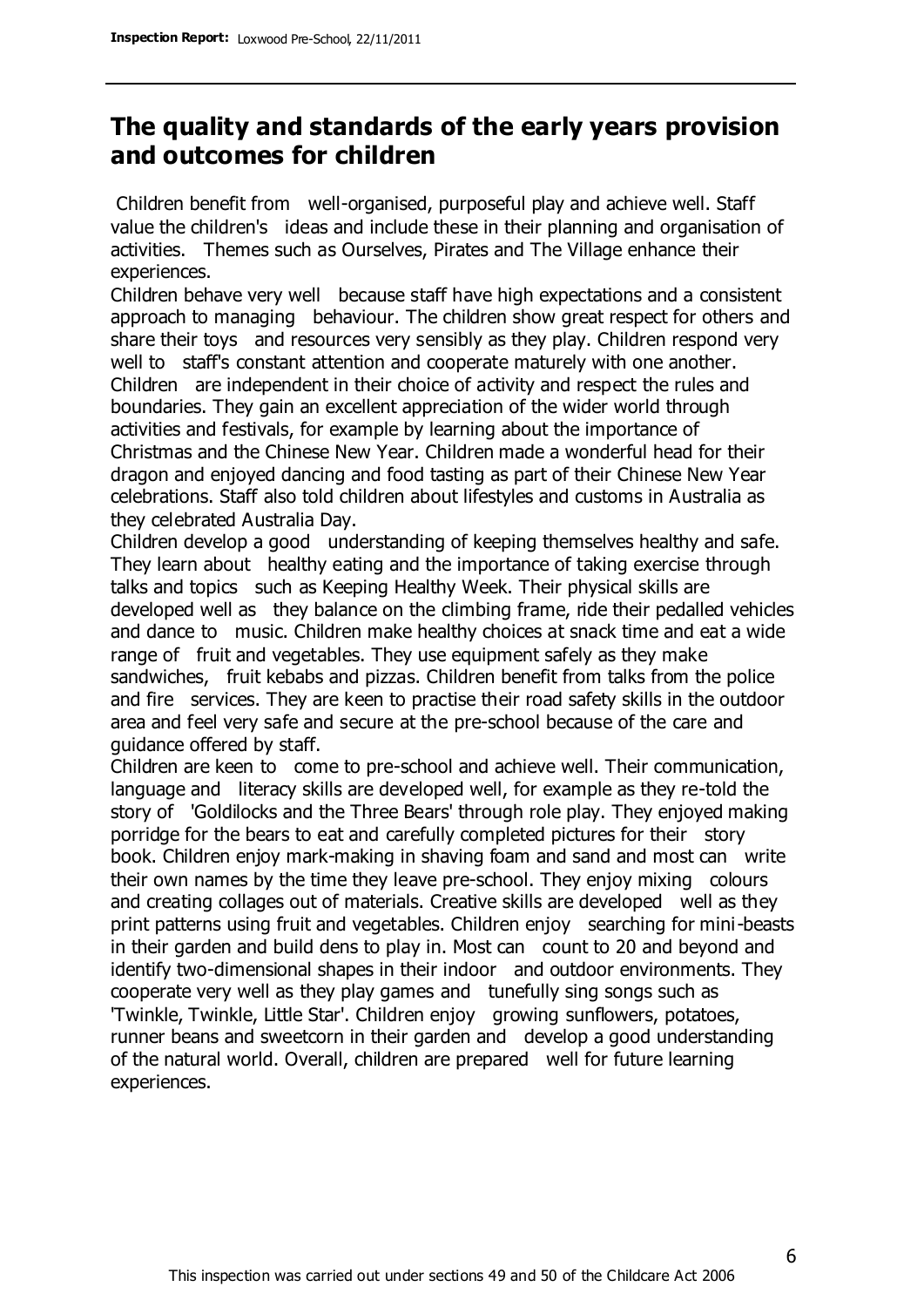# **The quality and standards of the early years provision and outcomes for children**

Children benefit from well-organised, purposeful play and achieve well. Staff value the children's ideas and include these in their planning and organisation of activities. Themes such as Ourselves, Pirates and The Village enhance their experiences.

Children behave very well because staff have high expectations and a consistent approach to managing behaviour. The children show great respect for others and share their toys and resources very sensibly as they play. Children respond very well to staff's constant attention and cooperate maturely with one another. Children are independent in their choice of activity and respect the rules and boundaries. They gain an excellent appreciation of the wider world through activities and festivals, for example by learning about the importance of Christmas and the Chinese New Year. Children made a wonderful head for their dragon and enjoyed dancing and food tasting as part of their Chinese New Year celebrations. Staff also told children about lifestyles and customs in Australia as they celebrated Australia Day.

Children develop a good understanding of keeping themselves healthy and safe. They learn about healthy eating and the importance of taking exercise through talks and topics such as Keeping Healthy Week. Their physical skills are developed well as they balance on the climbing frame, ride their pedalled vehicles and dance to music. Children make healthy choices at snack time and eat a wide range of fruit and vegetables. They use equipment safely as they make sandwiches, fruit kebabs and pizzas. Children benefit from talks from the police and fire services. They are keen to practise their road safety skills in the outdoor area and feel very safe and secure at the pre-school because of the care and guidance offered by staff.

Children are keen to come to pre-school and achieve well. Their communication, language and literacy skills are developed well, for example as they re-told the story of 'Goldilocks and the Three Bears' through role play. They enjoyed making porridge for the bears to eat and carefully completed pictures for their story book. Children enjoy mark-making in shaving foam and sand and most can write their own names by the time they leave pre-school. They enjoy mixing colours and creating collages out of materials. Creative skills are developed well as they print patterns using fruit and vegetables. Children enjoy searching for mini-beasts in their garden and build dens to play in. Most can count to 20 and beyond and identify two-dimensional shapes in their indoor and outdoor environments. They cooperate very well as they play games and tunefully sing songs such as 'Twinkle, Twinkle, Little Star'. Children enjoy growing sunflowers, potatoes, runner beans and sweetcorn in their garden and develop a good understanding of the natural world. Overall, children are prepared well for future learning experiences.